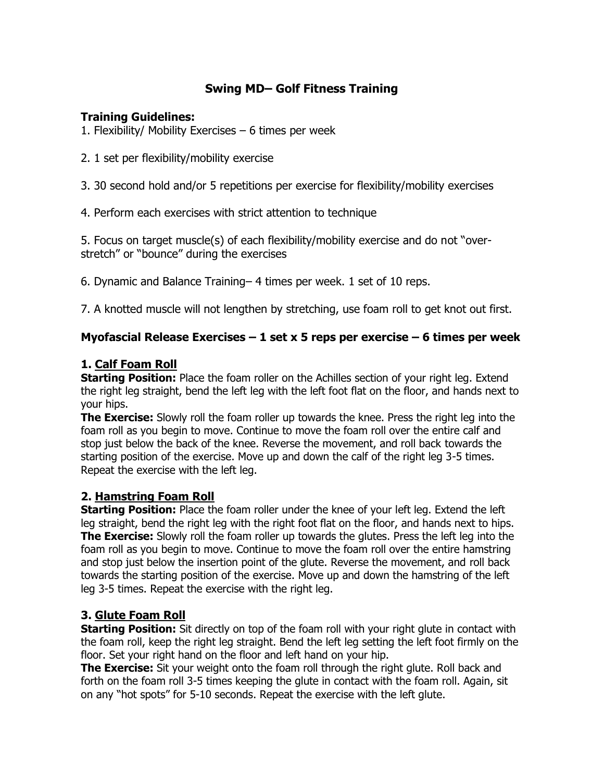# **Swing MD–Golf Fitness Training**

#### **Training Guidelines:**

- 1. Flexibility/ Mobility Exercises  $-6$  times per week
- 2. 1 set per flexibility/mobility exercise
- 3. 30 second hold and/or 5 repetitions per exercise for flexibility/mobility exercises
- 4. Perform each exercises with strict attention to technique

5. Focus on target muscle(s) of each flexibility/mobility exercise and do not"overstretch" or "bounce" during the exercises

6. Dynamic and Balance Training–4 times per week. 1 set of 10 reps.

7. A knotted muscle will not lengthen by stretching, use foam roll to get knot out first.

### **Myofascial Release Exercises –1 set x 5 reps per exercise –6 times per week**

#### **1. Calf Foam Roll**

**Starting Position:** Place the foam roller on the Achilles section of your right leg. Extend the right leg straight, bend the left leg with the left foot flat on the floor, and hands next to your hips.

**The Exercise:** Slowly roll the foam roller up towards the knee. Press the right leg into the foam roll as you begin to move. Continue to move the foam roll over the entire calf and stop just below the back of the knee. Reverse the movement, and roll back towards the starting position of the exercise. Move up and down the calf of the right leg 3-5 times. Repeat the exercise with the left leg.

#### **2. Hamstring Foam Roll**

**Starting Position:** Place the foam roller under the knee of your left leg. Extend the left leg straight, bend the right leg with the right foot flat on the floor, and hands next to hips. **The Exercise:** Slowly roll the foam roller up towards the glutes. Press the left leg into the foam roll as you begin to move. Continue to move the foam roll over the entire hamstring and stop just below the insertion point of the glute. Reverse the movement, and roll back towards the starting position of the exercise. Move up and down the hamstring of the left leg 3-5 times. Repeat the exercise with the right leg.

# **3. Glute Foam Roll**

**Starting Position:** Sit directly on top of the foam roll with your right glute in contact with the foam roll, keep the right leg straight. Bend the left leg setting the left foot firmly on the floor. Set your right hand on the floor and left hand on your hip.

**The Exercise:** Sit your weight onto the foam roll through the right glute. Roll back and forth on the foam roll 3-5 times keeping the glute in contact with the foam roll. Again, sit on any "hot spots" for 5-10 seconds. Repeat the exercise with the left glute.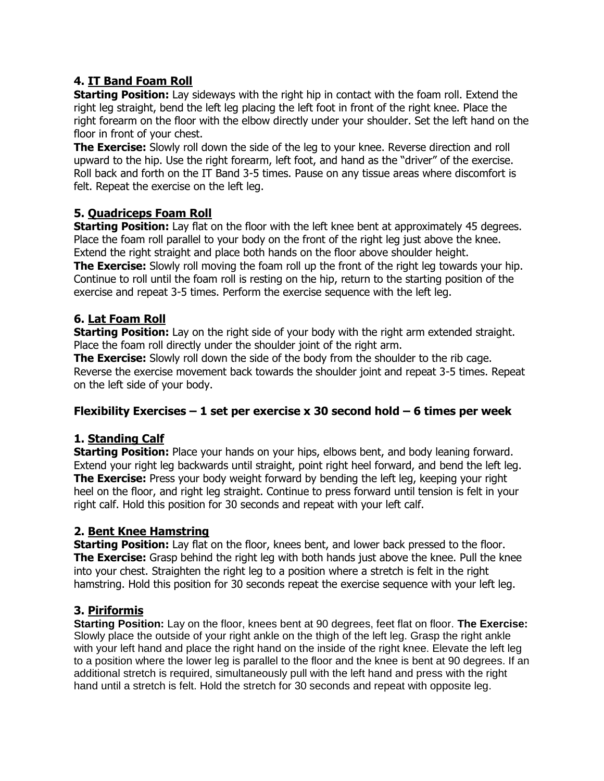# **4. IT Band Foam Roll**

**Starting Position:** Lay sideways with the right hip in contact with the foam roll. Extend the right leg straight, bend the left leg placing the left foot in front of the right knee. Place the right forearm on the floor with the elbow directly under your shoulder. Set the left hand on the floor in front of your chest.

**The Exercise:** Slowly roll down the side of the leg to your knee. Reverse direction and roll upward to the hip. Use the right forearm, left foot, and hand as the "driver" of the exercise. Roll back and forth on the IT Band 3-5 times. Pause on any tissue areas where discomfort is felt. Repeat the exercise on the left leg.

### **5. Quadriceps Foam Roll**

**Starting Position:** Lay flat on the floor with the left knee bent at approximately 45 degrees. Place the foam roll parallel to your body on the front of the right leg just above the knee. Extend the right straight and place both hands on the floor above shoulder height. **The Exercise:** Slowly roll moving the foam roll up the front of the right leg towards your hip.

Continue to roll until the foam roll is resting on the hip, return to the starting position of the exercise and repeat 3-5 times. Perform the exercise sequence with the left leg.

### **6. Lat Foam Roll**

**Starting Position:** Lay on the right side of your body with the right arm extended straight. Place the foam roll directly under the shoulder joint of the right arm.

**The Exercise:** Slowly roll down the side of the body from the shoulder to the rib cage. Reverse the exercise movement back towards the shoulder joint and repeat 3-5 times. Repeat on the left side of your body.

#### **Flexibility Exercises –1 set per exercise x 30 second hold –6 times per week**

# **1. Standing Calf**

**Starting Position:** Place your hands on your hips, elbows bent, and body leaning forward. Extend your right leg backwards until straight, point right heel forward, and bend the left leg. **The Exercise:** Press your body weight forward by bending the left leg, keeping your right heel on the floor, and right leg straight. Continue to press forward until tension is felt in your right calf. Hold this position for 30 seconds and repeat with your left calf.

# **2. Bent Knee Hamstring**

**Starting Position:** Lay flat on the floor, knees bent, and lower back pressed to the floor. **The Exercise:** Grasp behind the right leg with both hands just above the knee. Pull the knee into your chest. Straighten the right leg to a position where a stretch is felt in the right hamstring. Hold this position for 30 seconds repeat the exercise sequence with your left leg.

# **3. Piriformis**

**Starting Position:** Lay on the floor, knees bent at 90 degrees, feet flat on floor. **The Exercise:** Slowly place the outside of your right ankle on the thigh of the left leg. Grasp the right ankle with your left hand and place the right hand on the inside of the right knee. Elevate the left leg to a position where the lower leg is parallel to the floor and the knee is bent at 90 degrees. If an additional stretch is required, simultaneously pull with the left hand and press with the right hand until a stretch is felt. Hold the stretch for 30 seconds and repeat with opposite leg.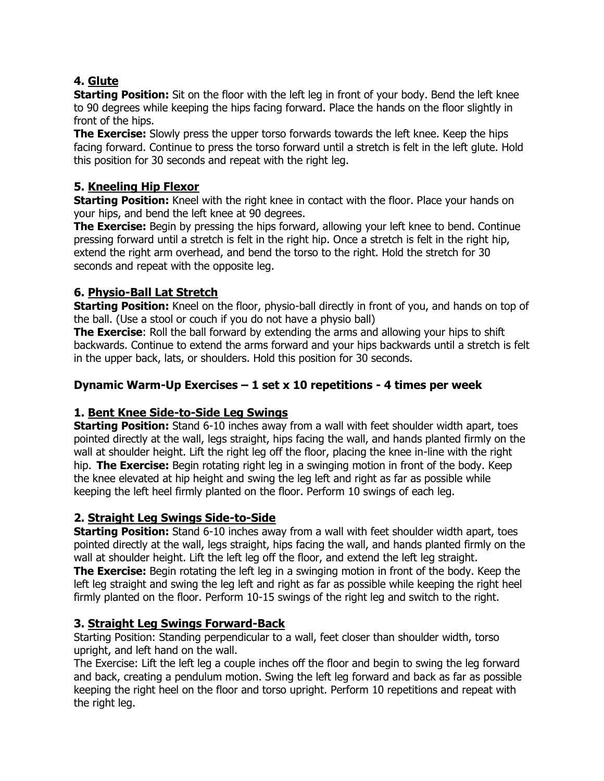# **4. Glute**

**Starting Position:** Sit on the floor with the left leg in front of your body. Bend the left knee to 90 degrees while keeping the hips facing forward. Place the hands on the floor slightly in front of the hips.

**The Exercise:** Slowly press the upper torso forwards towards the left knee. Keep the hips facing forward. Continue to press the torso forward until a stretch is felt in the left glute. Hold this position for 30 seconds and repeat with the right leg.

# **5. Kneeling Hip Flexor**

**Starting Position:** Kneel with the right knee in contact with the floor. Place your hands on your hips, and bend the left knee at 90 degrees.

**The Exercise:** Begin by pressing the hips forward, allowing your left knee to bend. Continue pressing forward until a stretch is felt in the right hip. Once a stretch is felt in the right hip, extend the right arm overhead, and bend the torso to the right. Hold the stretch for 30 seconds and repeat with the opposite leg.

# **6. Physio-Ball Lat Stretch**

**Starting Position:** Kneel on the floor, physio-ball directly in front of you, and hands on top of the ball. (Use a stool or couch if you do not have a physio ball)

**The Exercise**: Roll the ball forward by extending the arms and allowing your hips to shift backwards. Continue to extend the arms forward and your hips backwards until a stretch is felt in the upper back, lats, or shoulders. Hold this position for 30 seconds.

# **Dynamic Warm-Up Exercises –1 set x 10 repetitions - 4 times per week**

# **1. Bent Knee Side-to-Side Leg Swings**

**Starting Position:** Stand 6-10 inches away from a wall with feet shoulder width apart, toes pointed directly at the wall, legs straight, hips facing the wall, and hands planted firmly on the wall at shoulder height. Lift the right leg off the floor, placing the knee in-line with the right hip. **The Exercise:** Begin rotating right leg in a swinging motion in front of the body. Keep the knee elevated at hip height and swing the leg left and right as far as possible while keeping the left heel firmly planted on the floor. Perform 10 swings of each leg.

# **2. Straight Leg Swings Side-to-Side**

**Starting Position:** Stand 6-10 inches away from a wall with feet shoulder width apart, toes pointed directly at the wall, legs straight, hips facing the wall, and hands planted firmly on the wall at shoulder height. Lift the left leg off the floor, and extend the left leg straight. **The Exercise:** Begin rotating the left leg in a swinging motion in front of the body. Keep the left leg straight and swing the leg left and right as far as possible while keeping the right heel firmly planted on the floor. Perform 10-15 swings of the right leg and switch to the right.

# **3. Straight Leg Swings Forward-Back**

Starting Position: Standing perpendicular to a wall, feet closer than shoulder width, torso upright, and left hand on the wall.

The Exercise: Lift the left leg a couple inches off the floor and begin to swing the leg forward and back, creating a pendulum motion. Swing the left leg forward and back as far as possible keeping the right heel on the floor and torso upright. Perform 10 repetitions and repeat with the right leg.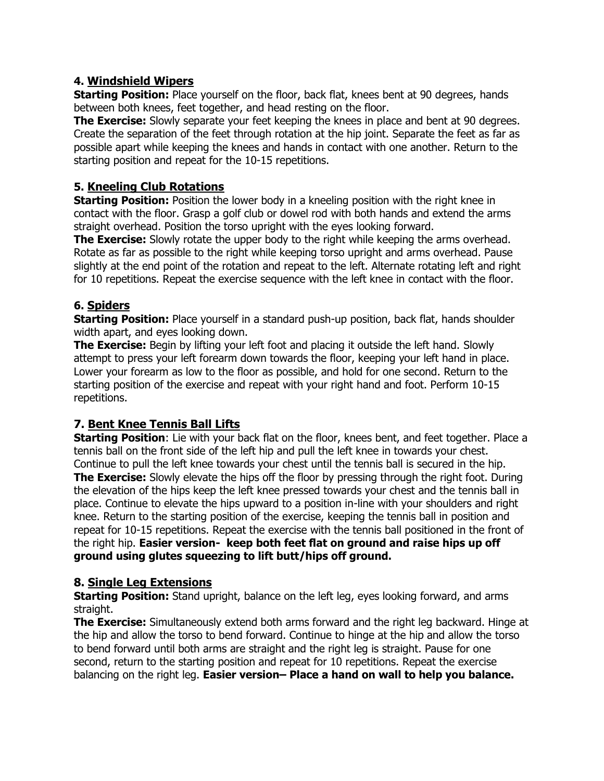#### **4. Windshield Wipers**

**Starting Position:** Place yourself on the floor, back flat, knees bent at 90 degrees, hands between both knees, feet together, and head resting on the floor.

**The Exercise:** Slowly separate your feet keeping the knees in place and bent at 90 degrees. Create the separation of the feet through rotation at the hip joint. Separate the feet as far as possible apart while keeping the knees and hands in contact with one another. Return to the starting position and repeat for the 10-15 repetitions.

### **5. Kneeling Club Rotations**

**Starting Position:** Position the lower body in a kneeling position with the right knee in contact with the floor. Grasp a golf club or dowel rod with both hands and extend the arms straight overhead. Position the torso upright with the eyes looking forward.

**The Exercise:** Slowly rotate the upper body to the right while keeping the arms overhead. Rotate as far as possible to the right while keeping torso upright and arms overhead. Pause slightly at the end point of the rotation and repeat to the left. Alternate rotating left and right for 10 repetitions. Repeat the exercise sequence with the left knee in contact with the floor.

### **6. Spiders**

**Starting Position:** Place yourself in a standard push-up position, back flat, hands shoulder width apart, and eyes looking down.

**The Exercise:** Begin by lifting your left foot and placing it outside the left hand. Slowly attempt to press your left forearm down towards the floor, keeping your left hand in place. Lower your forearm as low to the floor as possible, and hold for one second. Return to the starting position of the exercise and repeat with your right hand and foot. Perform 10-15 repetitions.

# **7. Bent Knee Tennis Ball Lifts**

**Starting Position**: Lie with your back flat on the floor, knees bent, and feet together. Place a tennis ball on the front side of the left hip and pull the left knee in towards your chest. Continue to pull the left knee towards your chest until the tennis ball is secured in the hip. **The Exercise:** Slowly elevate the hips off the floor by pressing through the right foot. During the elevation of the hips keep the left knee pressed towards your chest and the tennis ball in place. Continue to elevate the hips upward to a position in-line with your shoulders and right knee. Return to the starting position of the exercise, keeping the tennis ball in position and repeat for 10-15 repetitions. Repeat the exercise with the tennis ball positioned in the front of the right hip. **Easier version- keep both feet flat on ground and raise hips up off ground using glutes squeezing to lift butt/hips off ground.**

#### **8. Single Leg Extensions**

**Starting Position:** Stand upright, balance on the left leg, eyes looking forward, and arms straight.

**The Exercise:** Simultaneously extend both arms forward and the right leg backward. Hinge at the hip and allow the torso to bend forward. Continue to hinge at the hip and allow the torso to bend forward until both arms are straight and the right leg is straight. Pause for one second, return to the starting position and repeat for 10 repetitions. Repeat the exercise balancing on the right leg. **Easier version–Place a hand on wall to help you balance.**